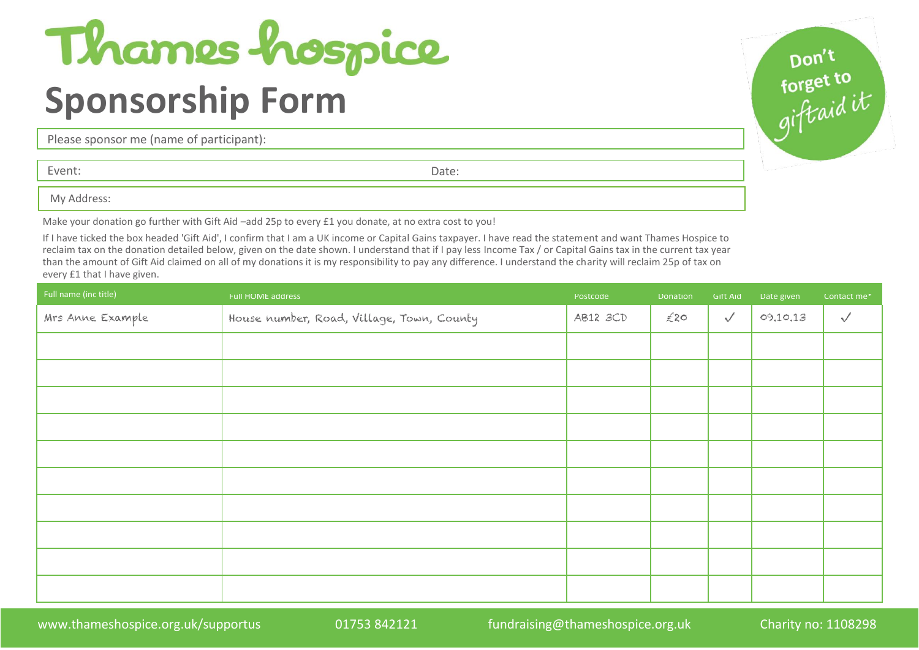## Thames hospice **Sponsorship Form**

Please sponsor me (name of participant):

Event: Date:

My Address:

Make your donation go further with Gift Aid –add 25p to every £1 you donate, at no extra cost to you!

If I have ticked the box headed 'Gift Aid', I confirm that I am a UK income or Capital Gains taxpayer. I have read the statement and want Thames Hospice to reclaim tax on the donation detailed below, given on the date shown. I understand that if I pay less Income Tax / or Capital Gains tax in the current tax year than the amount of Gift Aid claimed on all of my donations it is my responsibility to pay any difference. I understand the charity will reclaim 25p of tax on every £1 that I have given.

| Full name (inc title) | Full HOME address                         | Postcode | Donation | Gift Aid     | Date given | Contact me*  |
|-----------------------|-------------------------------------------|----------|----------|--------------|------------|--------------|
| Mrs Anne Example      | House number, Road, Village, Town, County | AB12 3CD | £20      | $\checkmark$ | 09,10,13   | $\checkmark$ |
|                       |                                           |          |          |              |            |              |
|                       |                                           |          |          |              |            |              |
|                       |                                           |          |          |              |            |              |
|                       |                                           |          |          |              |            |              |
|                       |                                           |          |          |              |            |              |
|                       |                                           |          |          |              |            |              |
|                       |                                           |          |          |              |            |              |
|                       |                                           |          |          |              |            |              |
|                       |                                           |          |          |              |            |              |
|                       |                                           |          |          |              |            |              |

pon't<br>forget to<br>giftaid it